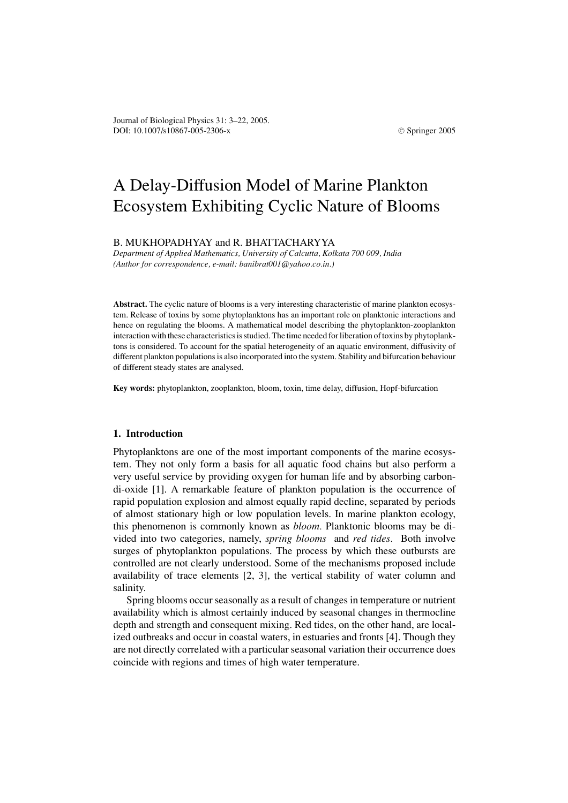Journal of Biological Physics 31: 3–22, 2005. DOI: 10.1007/s10867-005-2306-x <sup>C</sup> Springer 2005

# A Delay-Diffusion Model of Marine Plankton Ecosystem Exhibiting Cyclic Nature of Blooms

#### B. MUKHOPADHYAY and R. BHATTACHARYYA

*Department of Applied Mathematics, University of Calcutta, Kolkata 700 009, India (Author for correspondence, e-mail: banibrat001@yahoo.co.in.)*

**Abstract.** The cyclic nature of blooms is a very interesting characteristic of marine plankton ecosystem. Release of toxins by some phytoplanktons has an important role on planktonic interactions and hence on regulating the blooms. A mathematical model describing the phytoplankton-zooplankton interaction with these characteristics is studied. The time needed for liberation of toxins by phytoplanktons is considered. To account for the spatial heterogeneity of an aquatic environment, diffusivity of different plankton populations is also incorporated into the system. Stability and bifurcation behaviour of different steady states are analysed.

**Key words:** phytoplankton, zooplankton, bloom, toxin, time delay, diffusion, Hopf-bifurcation

# **1. Introduction**

Phytoplanktons are one of the most important components of the marine ecosystem. They not only form a basis for all aquatic food chains but also perform a very useful service by providing oxygen for human life and by absorbing carbondi-oxide [1]. A remarkable feature of plankton population is the occurrence of rapid population explosion and almost equally rapid decline, separated by periods of almost stationary high or low population levels. In marine plankton ecology, this phenomenon is commonly known as *bloom.* Planktonic blooms may be divided into two categories, namely, *spring blooms* and *red tides.* Both involve surges of phytoplankton populations. The process by which these outbursts are controlled are not clearly understood. Some of the mechanisms proposed include availability of trace elements [2, 3], the vertical stability of water column and salinity.

Spring blooms occur seasonally as a result of changes in temperature or nutrient availability which is almost certainly induced by seasonal changes in thermocline depth and strength and consequent mixing. Red tides, on the other hand, are localized outbreaks and occur in coastal waters, in estuaries and fronts [4]. Though they are not directly correlated with a particular seasonal variation their occurrence does coincide with regions and times of high water temperature.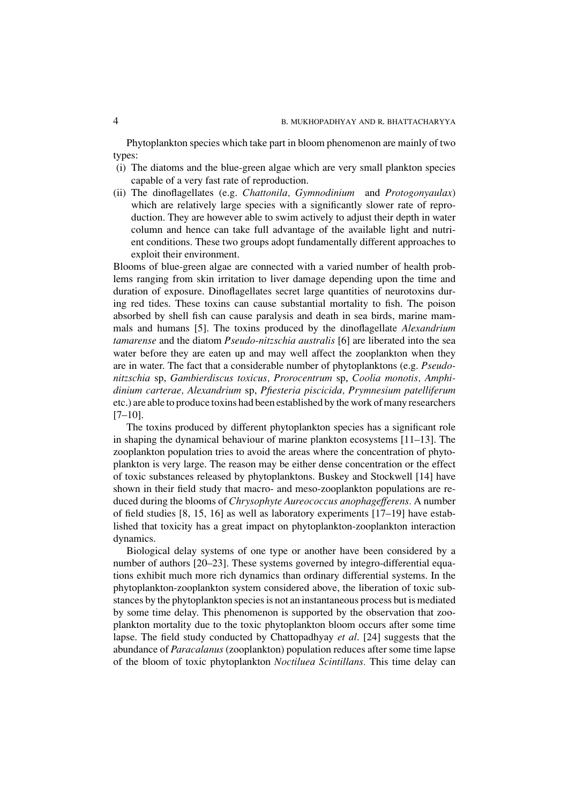Phytoplankton species which take part in bloom phenomenon are mainly of two types:

- (i) The diatoms and the blue-green algae which are very small plankton species capable of a very fast rate of reproduction.
- (ii) The dinoflagellates (e.g. *Chattonila, Gymnodinium* and *Protogonyaulax*) which are relatively large species with a significantly slower rate of reproduction. They are however able to swim actively to adjust their depth in water column and hence can take full advantage of the available light and nutrient conditions. These two groups adopt fundamentally different approaches to exploit their environment.

Blooms of blue-green algae are connected with a varied number of health problems ranging from skin irritation to liver damage depending upon the time and duration of exposure. Dinoflagellates secret large quantities of neurotoxins during red tides. These toxins can cause substantial mortality to fish. The poison absorbed by shell fish can cause paralysis and death in sea birds, marine mammals and humans [5]. The toxins produced by the dinoflagellate *Alexandrium tamarense* and the diatom *Pseudo-nitzschia australis* [6] are liberated into the sea water before they are eaten up and may well affect the zooplankton when they are in water. The fact that a considerable number of phytoplanktons (e.g. *Pseudonitzschia* sp, *Gambierdiscus toxicus, Prorocentrum* sp, *Coolia monotis, Amphidinium carterae, Alexandrium* sp, *Pfiesteria piscicida, Prymnesium patelliferum* etc.) are able to produce toxins had been established by the work of many researchers  $[7-10]$ .

The toxins produced by different phytoplankton species has a significant role in shaping the dynamical behaviour of marine plankton ecosystems [11–13]. The zooplankton population tries to avoid the areas where the concentration of phytoplankton is very large. The reason may be either dense concentration or the effect of toxic substances released by phytoplanktons. Buskey and Stockwell [14] have shown in their field study that macro- and meso-zooplankton populations are reduced during the blooms of *Chrysophyte Aureococcus anophagefferens.* A number of field studies [8, 15, 16] as well as laboratory experiments [17–19] have established that toxicity has a great impact on phytoplankton-zooplankton interaction dynamics.

Biological delay systems of one type or another have been considered by a number of authors [20–23]. These systems governed by integro-differential equations exhibit much more rich dynamics than ordinary differential systems. In the phytoplankton-zooplankton system considered above, the liberation of toxic substances by the phytoplankton species is not an instantaneous process but is mediated by some time delay. This phenomenon is supported by the observation that zooplankton mortality due to the toxic phytoplankton bloom occurs after some time lapse. The field study conducted by Chattopadhyay *et al*. [24] suggests that the abundance of *Paracalanus* (zooplankton) population reduces after some time lapse of the bloom of toxic phytoplankton *Noctiluea Scintillans.* This time delay can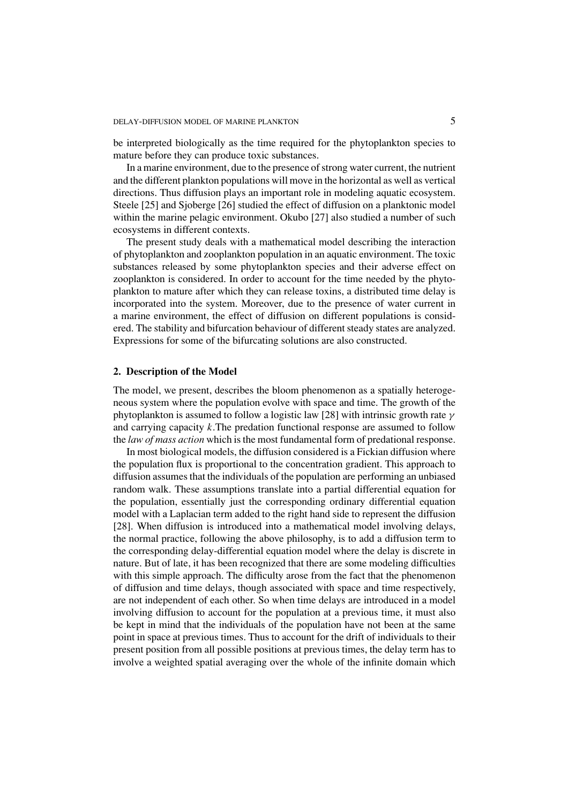be interpreted biologically as the time required for the phytoplankton species to mature before they can produce toxic substances.

In a marine environment, due to the presence of strong water current, the nutrient and the different plankton populations will move in the horizontal as well as vertical directions. Thus diffusion plays an important role in modeling aquatic ecosystem. Steele [25] and Sjoberge [26] studied the effect of diffusion on a planktonic model within the marine pelagic environment. Okubo [27] also studied a number of such ecosystems in different contexts.

The present study deals with a mathematical model describing the interaction of phytoplankton and zooplankton population in an aquatic environment. The toxic substances released by some phytoplankton species and their adverse effect on zooplankton is considered. In order to account for the time needed by the phytoplankton to mature after which they can release toxins, a distributed time delay is incorporated into the system. Moreover, due to the presence of water current in a marine environment, the effect of diffusion on different populations is considered. The stability and bifurcation behaviour of different steady states are analyzed. Expressions for some of the bifurcating solutions are also constructed.

### **2. Description of the Model**

The model, we present, describes the bloom phenomenon as a spatially heterogeneous system where the population evolve with space and time. The growth of the phytoplankton is assumed to follow a logistic law [28] with intrinsic growth rate  $\gamma$ and carrying capacity *k*.The predation functional response are assumed to follow the *law of mass action* which is the most fundamental form of predational response.

In most biological models, the diffusion considered is a Fickian diffusion where the population flux is proportional to the concentration gradient. This approach to diffusion assumes that the individuals of the population are performing an unbiased random walk. These assumptions translate into a partial differential equation for the population, essentially just the corresponding ordinary differential equation model with a Laplacian term added to the right hand side to represent the diffusion [28]. When diffusion is introduced into a mathematical model involving delays, the normal practice, following the above philosophy, is to add a diffusion term to the corresponding delay-differential equation model where the delay is discrete in nature. But of late, it has been recognized that there are some modeling difficulties with this simple approach. The difficulty arose from the fact that the phenomenon of diffusion and time delays, though associated with space and time respectively, are not independent of each other. So when time delays are introduced in a model involving diffusion to account for the population at a previous time, it must also be kept in mind that the individuals of the population have not been at the same point in space at previous times. Thus to account for the drift of individuals to their present position from all possible positions at previous times, the delay term has to involve a weighted spatial averaging over the whole of the infinite domain which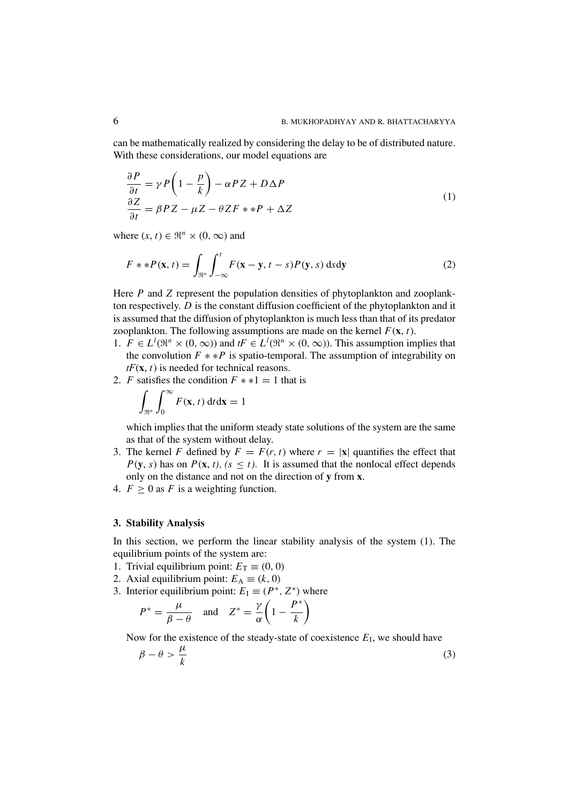can be mathematically realized by considering the delay to be of distributed nature. With these considerations, our model equations are

$$
\frac{\partial P}{\partial t} = \gamma P \left( 1 - \frac{P}{k} \right) - \alpha P Z + D \Delta P
$$
  
\n
$$
\frac{\partial Z}{\partial t} = \beta P Z - \mu Z - \theta Z F * P + \Delta Z
$$
 (1)

where  $(x, t) \in \mathbb{R}^n \times (0, \infty)$  and

$$
F * *P(\mathbf{x}, t) = \int_{\mathfrak{R}^n} \int_{-\infty}^t F(\mathbf{x} - \mathbf{y}, t - s) P(\mathbf{y}, s) \, ds \, dy \tag{2}
$$

Here *P* and *Z* represent the population densities of phytoplankton and zooplankton respectively. *D* is the constant diffusion coefficient of the phytoplankton and it is assumed that the diffusion of phytoplankton is much less than that of its predator zooplankton. The following assumptions are made on the kernel  $F(\mathbf{x}, t)$ .

- 1.  $F \in L^1(\mathbb{R}^n \times (0, \infty))$  and  $tF \in L^1(\mathbb{R}^n \times (0, \infty))$ . This assumption implies that the convolution  $F * P$  is spatio-temporal. The assumption of integrability on  $tF(\mathbf{x}, t)$  is needed for technical reasons.
- 2. *F* satisfies the condition  $F * *1 = 1$  that is

$$
\int_{\Re^n} \int_0^\infty F(\mathbf{x}, t) \, \mathrm{d}t \, \mathrm{d}\mathbf{x} = 1
$$

which implies that the uniform steady state solutions of the system are the same as that of the system without delay.

- 3. The kernel *F* defined by  $F = F(r, t)$  where  $r = |\mathbf{x}|$  quantifies the effect that  $P(\mathbf{y}, s)$  has on  $P(\mathbf{x}, t)$ ,  $(s \leq t)$ . It is assumed that the nonlocal effect depends only on the distance and not on the direction of **y** from **x**.
- 4.  $F \geq 0$  as *F* is a weighting function.

#### **3. Stability Analysis**

In this section, we perform the linear stability analysis of the system (1). The equilibrium points of the system are:

- 1. Trivial equilibrium point:  $E_T \equiv (0, 0)$
- 2. Axial equilibrium point:  $E_A \equiv (k, 0)$
- 3. Interior equilibrium point:  $E_I \equiv (P^*, Z^*)$  where

$$
P^* = \frac{\mu}{\beta - \theta} \quad \text{and} \quad Z^* = \frac{\gamma}{\alpha} \left( 1 - \frac{P^*}{k} \right)
$$

Now for the existence of the steady-state of coexistence  $E_I$ , we should have

$$
\beta - \theta > \frac{\mu}{k} \tag{3}
$$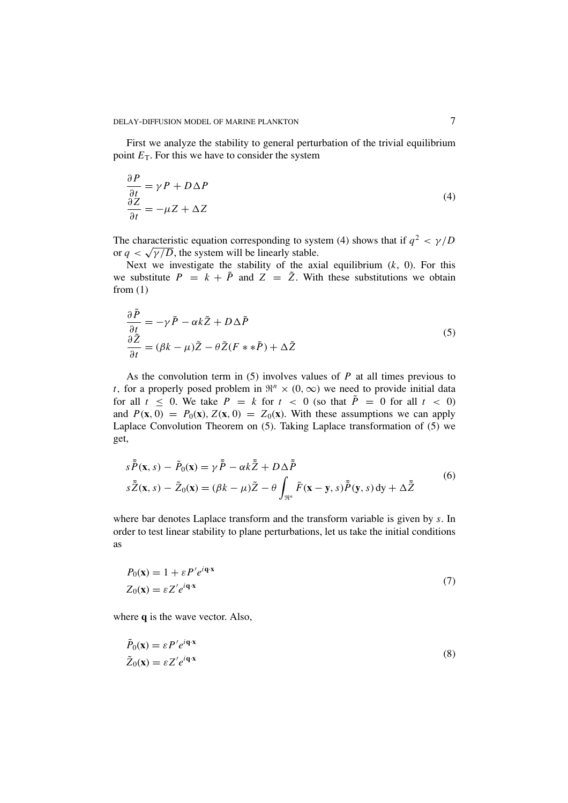First we analyze the stability to general perturbation of the trivial equilibrium point  $E_T$ . For this we have to consider the system

$$
\begin{aligned}\n\frac{\partial P}{\partial t} &= \gamma P + D\Delta P \\
\frac{\partial Z}{\partial t} &= -\mu Z + \Delta Z\n\end{aligned} \tag{4}
$$

The characteristic equation corresponding to system (4) shows that if  $q^2 < \gamma/D$ or  $q < \sqrt{\gamma/D}$ , the system will be linearly stable.

Next we investigate the stability of the axial equilibrium  $(k, 0)$ . For this we substitute  $P = k + \tilde{P}$  and  $Z = \tilde{Z}$ . With these substitutions we obtain from  $(1)$ 

$$
\frac{\partial \tilde{P}}{\partial t} = -\gamma \tilde{P} - \alpha k \tilde{Z} + D \Delta \tilde{P}
$$
  
\n
$$
\frac{\partial \tilde{Z}}{\partial t} = (\beta k - \mu) \tilde{Z} - \theta \tilde{Z} (F * * \tilde{P}) + \Delta \tilde{Z}
$$
\n(5)

As the convolution term in (5) involves values of *P* at all times previous to *t*, for a properly posed problem in  $\mathbb{R}^n \times (0, \infty)$  we need to provide initial data for all  $t \leq 0$ . We take  $P = k$  for  $t < 0$  (so that  $\tilde{P} = 0$  for all  $t < 0$ ) and  $P(\mathbf{x}, 0) = P_0(\mathbf{x}), Z(\mathbf{x}, 0) = Z_0(\mathbf{x})$ . With these assumptions we can apply Laplace Convolution Theorem on (5). Taking Laplace transformation of (5) we get,

$$
s\tilde{\bar{P}}(\mathbf{x},s) - \tilde{P}_0(\mathbf{x}) = \gamma \tilde{\bar{P}} - \alpha k \tilde{\bar{Z}} + D\Delta \tilde{\bar{P}}
$$
  

$$
s\tilde{\bar{Z}}(\mathbf{x},s) - \tilde{Z}_0(\mathbf{x}) = (\beta k - \mu)\tilde{Z} - \theta \int_{\Re^n} \bar{F}(\mathbf{x} - \mathbf{y},s)\tilde{\bar{P}}(\mathbf{y},s) \,d\mathbf{y} + \Delta \tilde{\bar{Z}}
$$
(6)

where bar denotes Laplace transform and the transform variable is given by *s*. In order to test linear stability to plane perturbations, let us take the initial conditions as

$$
P_0(\mathbf{x}) = 1 + \varepsilon P' e^{i\mathbf{q} \cdot \mathbf{x}}
$$
  
\n
$$
Z_0(\mathbf{x}) = \varepsilon Z' e^{i\mathbf{q} \cdot \mathbf{x}}
$$
\n(7)

where **q** is the wave vector. Also,

$$
\tilde{P}_0(\mathbf{x}) = \varepsilon P' e^{i\mathbf{q}\cdot\mathbf{x}} \n\tilde{Z}_0(\mathbf{x}) = \varepsilon Z' e^{i\mathbf{q}\cdot\mathbf{x}} \n\tag{8}
$$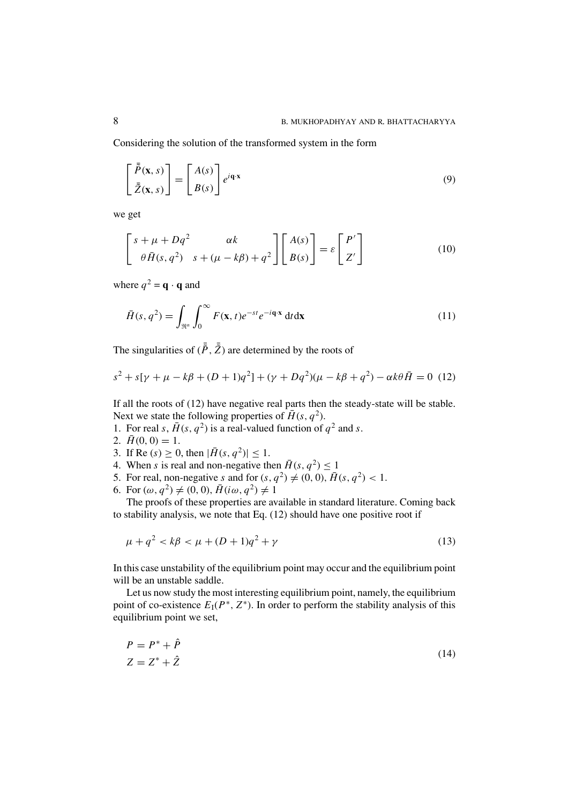Considering the solution of the transformed system in the form

$$
\begin{bmatrix} \bar{\tilde{P}}(\mathbf{x}, s) \\ \bar{\tilde{Z}}(\mathbf{x}, s) \end{bmatrix} = \begin{bmatrix} A(s) \\ B(s) \end{bmatrix} e^{i\mathbf{q} \cdot \mathbf{x}}
$$
\n(9)

we get

$$
\begin{bmatrix} s + \mu + Dq^2 & \alpha k \\ \theta \bar{H}(s, q^2) & s + (\mu - k\beta) + q^2 \end{bmatrix} \begin{bmatrix} A(s) \\ B(s) \end{bmatrix} = \varepsilon \begin{bmatrix} P' \\ Z' \end{bmatrix}
$$
 (10)

where  $q^2 = \mathbf{q} \cdot \mathbf{q}$  and

$$
\bar{H}(s, q^2) = \int_{\mathfrak{R}^n} \int_0^\infty F(\mathbf{x}, t) e^{-st} e^{-i\mathbf{q} \cdot \mathbf{x}} dt d\mathbf{x}
$$
\n(11)

The singularities of  $(\bar{\tilde{P}}, \bar{\tilde{Z}})$  are determined by the roots of

$$
s^{2} + s[\gamma + \mu - k\beta + (D+1)q^{2}] + (\gamma + Dq^{2})(\mu - k\beta + q^{2}) - \alpha k\theta \bar{H} = 0
$$
 (12)

If all the roots of (12) have negative real parts then the steady-state will be stable. Next we state the following properties of  $\bar{H}(s, q^2)$ .

- 1. For real *s*,  $\bar{H}(s, q^2)$  is a real-valued function of  $q^2$  and *s*.
- 2.  $\bar{H}(0, 0) = 1$ .
- 3. If Re  $(s) \ge 0$ , then  $|\bar{H}(s, q^2)| \le 1$ .
- 4. When *s* is real and non-negative then  $\bar{H}(s, q^2) \leq 1$
- 5. For real, non-negative *s* and for  $(s, q^2) \neq (0, 0)$ ,  $\bar{H}(s, q^2) < 1$ .
- 6. For  $(\omega, q^2) \neq (0, 0)$ ,  $\bar{H}(i\omega, q^2) \neq 1$

The proofs of these properties are available in standard literature. Coming back to stability analysis, we note that Eq. (12) should have one positive root if

$$
\mu + q^2 < k\beta < \mu + (D+1)q^2 + \gamma \tag{13}
$$

In this case unstability of the equilibrium point may occur and the equilibrium point will be an unstable saddle.

Let us now study the most interesting equilibrium point, namely, the equilibrium point of co-existence  $E_1(P^*, Z^*)$ . In order to perform the stability analysis of this equilibrium point we set,

$$
P = P^* + \hat{P}
$$
  
\n
$$
Z = Z^* + \hat{Z}
$$
\n(14)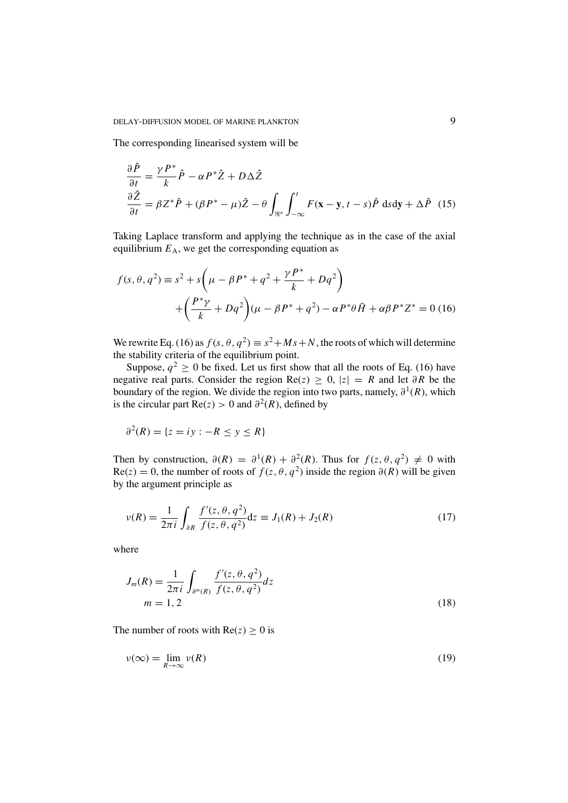The corresponding linearised system will be

$$
\frac{\partial \hat{P}}{\partial t} = \frac{\gamma P^*}{k} \hat{P} - \alpha P^* \hat{Z} + D \Delta \hat{Z}
$$
  

$$
\frac{\partial \hat{Z}}{\partial t} = \beta Z^* \hat{P} + (\beta P^* - \mu) \hat{Z} - \theta \int_{\Re^n} \int_{-\infty}^t F(\mathbf{x} - \mathbf{y}, t - s) \hat{P} \, ds \, d\mathbf{y} + \Delta \hat{P} \quad (15)
$$

Taking Laplace transform and applying the technique as in the case of the axial equilibrium  $E_A$ , we get the corresponding equation as

$$
f(s, \theta, q^2) \equiv s^2 + s \left( \mu - \beta P^* + q^2 + \frac{\gamma P^*}{k} + Dq^2 \right)
$$
  
+ 
$$
\left( \frac{P^* \gamma}{k} + Dq^2 \right) (\mu - \beta P^* + q^2) - \alpha P^* \theta \bar{H} + \alpha \beta P^* Z^* = 0 \text{ (16)}
$$

We rewrite Eq. (16) as  $f(s, \theta, q^2) \equiv s^2 + Ms + N$ , the roots of which will determine the stability criteria of the equilibrium point.

Suppose,  $q^2 \ge 0$  be fixed. Let us first show that all the roots of Eq. (16) have negative real parts. Consider the region  $Re(z) \ge 0$ ,  $|z| = R$  and let ∂R be the boundary of the region. We divide the region into two parts, namely,  $\partial^1(R)$ , which is the circular part  $Re(z) > 0$  and  $\partial^2(R)$ , defined by

$$
\partial^2(R) = \{z = iy : -R \le y \le R\}
$$

Then by construction,  $\partial(R) = \partial^1(R) + \partial^2(R)$ . Thus for  $f(z, \theta, q^2) \neq 0$  with  $\text{Re}(z) = 0$ , the number of roots of  $f(z, \theta, q^2)$  inside the region  $\partial(R)$  will be given by the argument principle as

$$
\nu(R) = \frac{1}{2\pi i} \int_{\partial R} \frac{f'(z, \theta, q^2)}{f(z, \theta, q^2)} dz \equiv J_1(R) + J_2(R)
$$
\n(17)

where

$$
J_m(R) = \frac{1}{2\pi i} \int_{\partial^m(R)} \frac{f'(z, \theta, q^2)}{f(z, \theta, q^2)} dz
$$
  
\n
$$
m = 1, 2
$$
\n(18)

The number of roots with  $Re(z) \ge 0$  is

$$
\nu(\infty) = \lim_{R \to \infty} \nu(R) \tag{19}
$$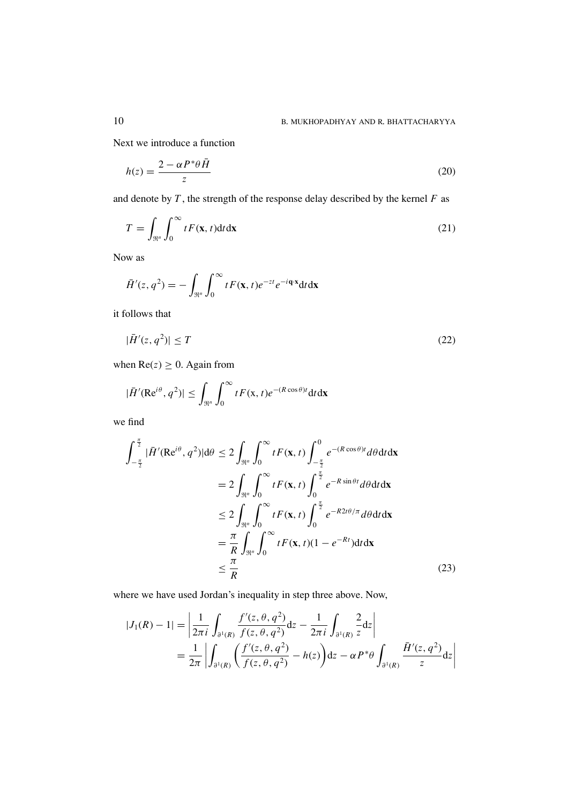Next we introduce a function

$$
h(z) = \frac{2 - \alpha P^* \theta \bar{H}}{z} \tag{20}
$$

and denote by *T* , the strength of the response delay described by the kernel *F* as

$$
T = \int_{\mathfrak{R}^n} \int_0^\infty t F(\mathbf{x}, t) dt d\mathbf{x}
$$
 (21)

Now as

$$
\bar{H}'(z,q^2) = -\int_{\Re^n} \int_0^\infty t F(\mathbf{x},t) e^{-zt} e^{-i\mathbf{q}\cdot\mathbf{x}} dt d\mathbf{x}
$$

it follows that

$$
|\bar{H}'(z,q^2)| \le T \tag{22}
$$

when  $Re(z) \geq 0$ . Again from

$$
|\bar{H}'(\mathrm{Re}^{i\theta}, q^2)| \leq \int_{\mathfrak{R}^n} \int_0^\infty t F(\mathbf{x}, t) e^{-(R\cos\theta)t} \mathrm{d}t \mathrm{d}\mathbf{x}
$$

we find

$$
\int_{-\frac{\pi}{2}}^{\frac{\pi}{2}} |\bar{H}'(\mathrm{Re}^{i\theta}, q^2)| d\theta \le 2 \int_{\mathfrak{R}^n} \int_0^{\infty} t F(\mathbf{x}, t) \int_{-\frac{\pi}{2}}^0 e^{-(R \cos \theta)t} d\theta dt d\mathbf{x}
$$
  
\n
$$
= 2 \int_{\mathfrak{R}^n} \int_0^{\infty} t F(\mathbf{x}, t) \int_0^{\frac{\pi}{2}} e^{-R \sin \theta t} d\theta dt d\mathbf{x}
$$
  
\n
$$
\le 2 \int_{\mathfrak{R}^n} \int_0^{\infty} t F(\mathbf{x}, t) \int_0^{\frac{\pi}{2}} e^{-R 2t \theta/\pi} d\theta dt d\mathbf{x}
$$
  
\n
$$
= \frac{\pi}{R} \int_{\mathfrak{R}^n} \int_0^{\infty} t F(\mathbf{x}, t) (1 - e^{-Rt}) dt d\mathbf{x}
$$
  
\n
$$
\le \frac{\pi}{R}
$$
 (23)

where we have used Jordan's inequality in step three above. Now,

$$
|J_1(R) - 1| = \left| \frac{1}{2\pi i} \int_{\partial^1(R)} \frac{f'(z, \theta, q^2)}{f(z, \theta, q^2)} dz - \frac{1}{2\pi i} \int_{\partial^1(R)} \frac{2}{z} dz \right|
$$
  
= 
$$
\frac{1}{2\pi} \left| \int_{\partial^1(R)} \left( \frac{f'(z, \theta, q^2)}{f(z, \theta, q^2)} - h(z) \right) dz - \alpha P^* \theta \int_{\partial^1(R)} \frac{\bar{H}'(z, q^2)}{z} dz \right|
$$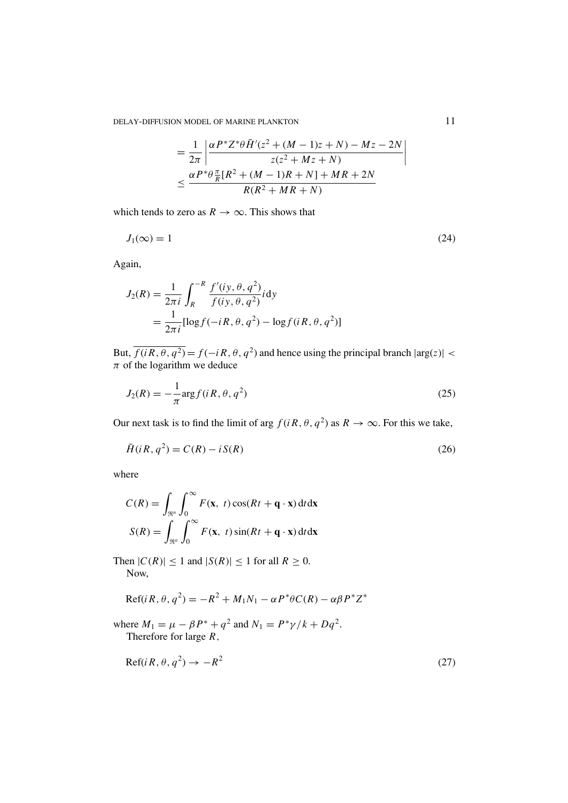$$
= \frac{1}{2\pi} \left| \frac{\alpha P^* Z^* \theta \bar{H}' (z^2 + (M-1)z + N) - Mz - 2N}{z(z^2 + Mz + N)} \right|
$$
  

$$
\leq \frac{\alpha P^* \theta \frac{\pi}{R} [R^2 + (M-1)R + N] + MR + 2N}{R(R^2 + MR + N)}
$$

which tends to zero as  $R \to \infty$ . This shows that

$$
J_1(\infty) = 1\tag{24}
$$

Again,

$$
J_2(R) = \frac{1}{2\pi i} \int_R^{-R} \frac{f'(iy, \theta, q^2)}{f(iy, \theta, q^2)} i \, dy
$$
  
=  $\frac{1}{2\pi i} [\log f(-iR, \theta, q^2) - \log f(iR, \theta, q^2)]$ 

But,  $\overline{f(iR, \theta, q^2)} = f(-iR, \theta, q^2)$  and hence using the principal branch  $|\arg(z)| <$  $\pi$  of the logarithm we deduce

$$
J_2(R) = -\frac{1}{\pi} \arg f(iR, \theta, q^2)
$$
\n<sup>(25)</sup>

Our next task is to find the limit of arg  $f(iR, \theta, q^2)$  as  $R \to \infty$ . For this we take,

$$
\bar{H}(iR, q^2) = C(R) - iS(R)
$$
\n
$$
(26)
$$

where

$$
C(R) = \int_{\mathfrak{R}^n} \int_0^\infty F(\mathbf{x}, t) \cos(Rt + \mathbf{q} \cdot \mathbf{x}) dt d\mathbf{x}
$$

$$
S(R) = \int_{\mathfrak{R}^n} \int_0^\infty F(\mathbf{x}, t) \sin(Rt + \mathbf{q} \cdot \mathbf{x}) dt d\mathbf{x}
$$

Then  $|C(R)| \le 1$  and  $|S(R)| \le 1$  for all  $R \ge 0$ . Now,

$$
Ref(iR, \theta, q^2) = -R^2 + M_1 N_1 - \alpha P^* \theta C(R) - \alpha \beta P^* Z^*
$$

where  $M_1 = \mu - \beta P^* + q^2$  and  $N_1 = P^* \gamma / k + Dq^2$ . Therefore for large *R*,

$$
Ref(iR, \theta, q^2) \to -R^2 \tag{27}
$$

 $\bigg\}$  $\Big\}$  $\bigg\}$  $\overline{a}$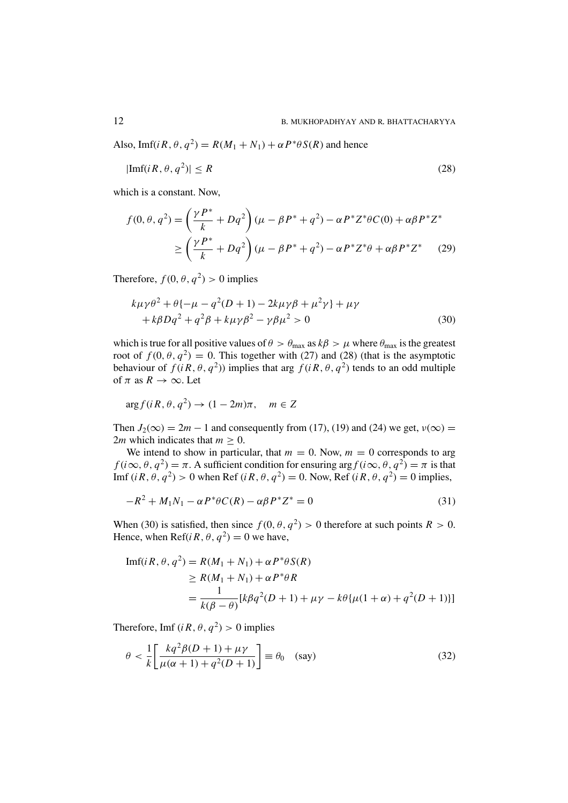Also, Imf( $iR$ ,  $\theta$ ,  $q^2$ ) =  $R(M_1 + N_1) + \alpha P^* \theta S(R)$  and hence

$$
|\text{Im}f(iR, \theta, q^2)| \le R \tag{28}
$$

which is a constant. Now,

$$
f(0, \theta, q^2) = \left(\frac{\gamma P^*}{k} + Dq^2\right)(\mu - \beta P^* + q^2) - \alpha P^* Z^* \theta C(0) + \alpha \beta P^* Z^*
$$
  

$$
\ge \left(\frac{\gamma P^*}{k} + Dq^2\right)(\mu - \beta P^* + q^2) - \alpha P^* Z^* \theta + \alpha \beta P^* Z^* \qquad (29)
$$

Therefore,  $f(0, \theta, q^2) > 0$  implies

$$
k\mu\gamma\theta^{2} + \theta\{-\mu - q^{2}(D+1) - 2k\mu\gamma\beta + \mu^{2}\gamma\} + \mu\gamma
$$
  
+  $k\beta Dq^{2} + q^{2}\beta + k\mu\gamma\beta^{2} - \gamma\beta\mu^{2} > 0$  (30)

which is true for all positive values of  $\theta > \theta_{\text{max}}$  as  $k\beta > \mu$  where  $\theta_{\text{max}}$  is the greatest root of  $f(0, \theta, q^2) = 0$ . This together with (27) and (28) (that is the asymptotic behaviour of  $f(iR, \theta, q^2)$ ) implies that arg  $f(iR, \theta, q^2)$  tends to an odd multiple of  $\pi$  as  $R \to \infty$ . Let

$$
\arg f(iR, \theta, q^2) \to (1 - 2m)\pi, \quad m \in Z
$$

Then  $J_2(\infty) = 2m - 1$  and consequently from (17), (19) and (24) we get,  $v(\infty) =$ 2*m* which indicates that  $m \geq 0$ .

We intend to show in particular, that  $m = 0$ . Now,  $m = 0$  corresponds to arg  $f(i\infty, \theta, q^2) = \pi$ . A sufficient condition for ensuring arg  $f(i\infty, \theta, q^2) = \pi$  is that Imf (*iR*,  $\theta$ ,  $q^2$ ) > 0 when Ref (*iR*,  $\theta$ ,  $q^2$ ) = 0. Now, Ref (*iR*,  $\theta$ ,  $q^2$ ) = 0 implies,

$$
-R2 + M1N1 - \alpha P^* \theta C(R) - \alpha \beta P^* Z^* = 0
$$
\n(31)

When (30) is satisfied, then since  $f(0, \theta, q^2) > 0$  therefore at such points  $R > 0$ . Hence, when Ref( $iR, \theta, q^2$ ) = 0 we have,

$$
\begin{aligned} \text{Imf}(iR, \theta, q^2) &= R(M_1 + N_1) + \alpha P^* \theta S(R) \\ &\ge R(M_1 + N_1) + \alpha P^* \theta R \\ &= \frac{1}{k(\beta - \theta)} [k\beta q^2(D+1) + \mu \gamma - k\theta \{ \mu(1 + \alpha) + q^2(D+1) \}] \end{aligned}
$$

Therefore, Imf  $(iR, \theta, q^2) > 0$  implies

$$
\theta < \frac{1}{k} \left[ \frac{kq^2 \beta (D+1) + \mu \gamma}{\mu (\alpha + 1) + q^2 (D+1)} \right] \equiv \theta_0 \quad \text{(say)}\tag{32}
$$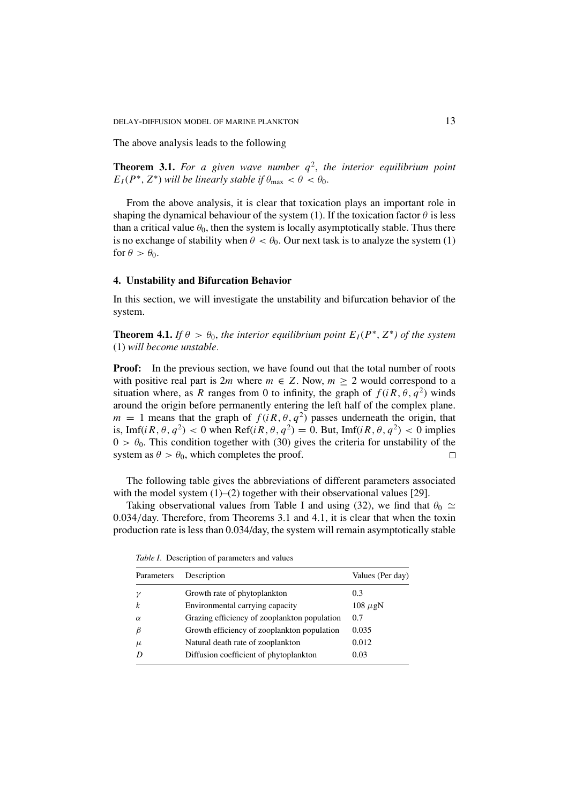The above analysis leads to the following

**Theorem 3.1.** For a given wave number  $q^2$ , the interior equilibrium point  $E_I(P^*, Z^*)$  *will be linearly stable if*  $\theta_{\text{max}} < \theta < \theta_0$ *.* 

From the above analysis, it is clear that toxication plays an important role in shaping the dynamical behaviour of the system (1). If the toxication factor  $\theta$  is less than a critical value  $\theta_0$ , then the system is locally asymptotically stable. Thus there is no exchange of stability when  $\theta < \theta_0$ . Our next task is to analyze the system (1) for  $\theta > \theta_0$ .

### **4. Unstability and Bifurcation Behavior**

In this section, we will investigate the unstability and bifurcation behavior of the system.

**Theorem 4.1.** *If*  $\theta > \theta_0$ , *the interior equilibrium point*  $E_I(P^*, Z^*)$  *of the system* (1) *will become unstable.*

**Proof:** In the previous section, we have found out that the total number of roots with positive real part is 2*m* where  $m \in \mathbb{Z}$ . Now,  $m \geq 2$  would correspond to a situation where, as *R* ranges from 0 to infinity, the graph of  $f(iR, \theta, q^2)$  winds around the origin before permanently entering the left half of the complex plane.  $m = 1$  means that the graph of  $f(iR, \theta, q^2)$  passes underneath the origin, that is, Imf( $iR, \theta, q^2$ ) < 0 when Ref( $iR, \theta, q^2$ ) = 0. But, Imf( $iR, \theta, q^2$ ) < 0 implies  $0 > \theta_0$ . This condition together with (30) gives the criteria for unstability of the system as  $\theta > \theta_0$ , which completes the proof.  $\Box$ 

The following table gives the abbreviations of different parameters associated with the model system (1)–(2) together with their observational values [29].

Taking observational values from Table I and using (32), we find that  $\theta_0 \simeq$ 0.034/day. Therefore, from Theorems 3.1 and 4.1, it is clear that when the toxin production rate is less than 0.034/day, the system will remain asymptotically stable

| Parameters       | Description                                  | Values (Per day) |
|------------------|----------------------------------------------|------------------|
| $\gamma$         | Growth rate of phytoplankton                 | 0.3              |
| $\boldsymbol{k}$ | Environmental carrying capacity              | $108 \mu gN$     |
| $\alpha$         | Grazing efficiency of zooplankton population | 0.7              |
| $\beta$          | Growth efficiency of zooplankton population  | 0.035            |
| $\mu$            | Natural death rate of zooplankton            | 0.012            |
|                  | Diffusion coefficient of phytoplankton       | 0.03             |

*Table I.* Description of parameters and values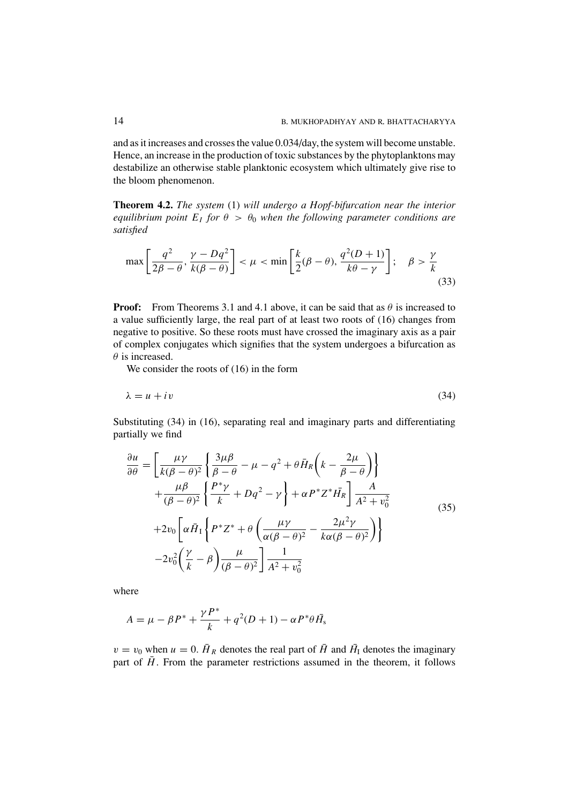and as it increases and crosses the value 0.034/day, the system will become unstable. Hence, an increase in the production of toxic substances by the phytoplanktons may destabilize an otherwise stable planktonic ecosystem which ultimately give rise to the bloom phenomenon.

**Theorem 4.2.** *The system* (1) *will undergo a Hopf-bifurcation near the interior equilibrium point*  $E_I$  *for*  $\theta > \theta_0$  *when the following parameter conditions are satisfied*

$$
\max\left[\frac{q^2}{2\beta-\theta},\frac{\gamma-Dq^2}{k(\beta-\theta)}\right] < \mu < \min\left[\frac{k}{2}(\beta-\theta),\frac{q^2(D+1)}{k\theta-\gamma}\right]; \quad \beta > \frac{\gamma}{k} \tag{33}
$$

**Proof:** From Theorems 3.1 and 4.1 above, it can be said that as  $\theta$  is increased to a value sufficiently large, the real part of at least two roots of (16) changes from negative to positive. So these roots must have crossed the imaginary axis as a pair of complex conjugates which signifies that the system undergoes a bifurcation as  $\theta$  is increased.

We consider the roots of (16) in the form

$$
\lambda = u + iv \tag{34}
$$

Substituting (34) in (16), separating real and imaginary parts and differentiating partially we find

$$
\frac{\partial u}{\partial \theta} = \left[ \frac{\mu \gamma}{k(\beta - \theta)^2} \left\{ \frac{3\mu \beta}{\beta - \theta} - \mu - q^2 + \theta \bar{H}_R \left( k - \frac{2\mu}{\beta - \theta} \right) \right\} \right. \n+ \frac{\mu \beta}{(\beta - \theta)^2} \left\{ \frac{P^* \gamma}{k} + Dq^2 - \gamma \right\} + \alpha P^* Z^* \bar{H}_R \right] \frac{A}{A^2 + v_0^2} \n+ 2v_0 \left[ \alpha \bar{H}_1 \left\{ P^* Z^* + \theta \left( \frac{\mu \gamma}{\alpha(\beta - \theta)^2} - \frac{2\mu^2 \gamma}{k \alpha(\beta - \theta)^2} \right) \right\} \n- 2v_0^2 \left( \frac{\gamma}{k} - \beta \right) \frac{\mu}{(\beta - \theta)^2} \right] \frac{1}{A^2 + v_0^2}
$$
\n(35)

where

$$
A = \mu - \beta P^* + \frac{\gamma P^*}{k} + q^2 (D + 1) - \alpha P^* \theta \bar{H}_s
$$

 $v = v_0$  when  $u = 0$ .  $\bar{H}_R$  denotes the real part of  $\bar{H}$  and  $\bar{H}_I$  denotes the imaginary part of  $\bar{H}$ . From the parameter restrictions assumed in the theorem, it follows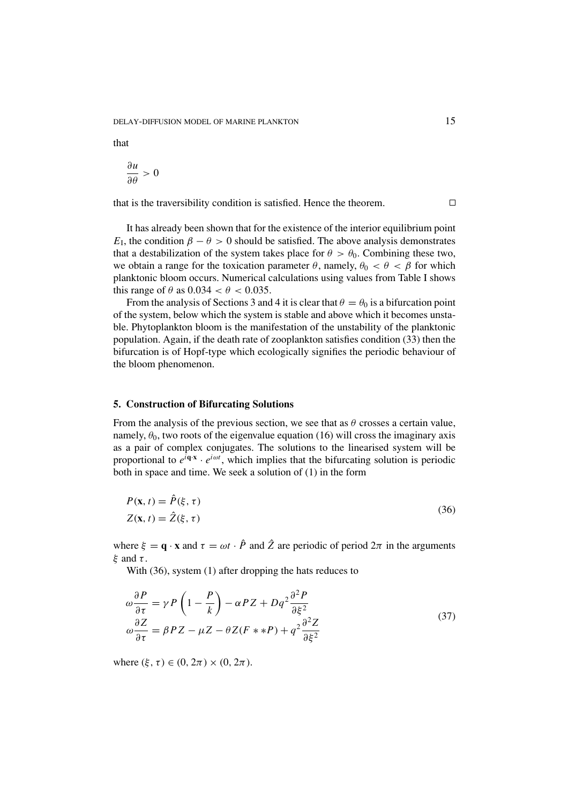that

$$
\frac{\partial u}{\partial \theta}>0
$$

that is the traversibility condition is satisfied. Hence the theorem.

It has already been shown that for the existence of the interior equilibrium point *E*<sub>I</sub>, the condition  $\beta - \theta > 0$  should be satisfied. The above analysis demonstrates that a destabilization of the system takes place for  $\theta > \theta_0$ . Combining these two, we obtain a range for the toxication parameter  $\theta$ , namely,  $\theta_0 < \theta < \beta$  for which planktonic bloom occurs. Numerical calculations using values from Table I shows this range of  $\theta$  as 0.034  $< \theta < 0.035$ .

From the analysis of Sections 3 and 4 it is clear that  $\theta = \theta_0$  is a bifurcation point of the system, below which the system is stable and above which it becomes unstable. Phytoplankton bloom is the manifestation of the unstability of the planktonic population. Again, if the death rate of zooplankton satisfies condition (33) then the bifurcation is of Hopf-type which ecologically signifies the periodic behaviour of the bloom phenomenon.

# **5. Construction of Bifurcating Solutions**

From the analysis of the previous section, we see that as  $\theta$  crosses a certain value, namely,  $\theta_0$ , two roots of the eigenvalue equation (16) will cross the imaginary axis as a pair of complex conjugates. The solutions to the linearised system will be proportional to  $e^{i\mathbf{q}\cdot\mathbf{x}} \cdot e^{i\omega t}$ , which implies that the bifurcating solution is periodic both in space and time. We seek a solution of (1) in the form

$$
P(\mathbf{x}, t) = \hat{P}(\xi, \tau)
$$
  
Z(\mathbf{x}, t) = \hat{Z}(\xi, \tau) (36)

where  $\xi = \mathbf{q} \cdot \mathbf{x}$  and  $\tau = \omega t \cdot \hat{P}$  and  $\hat{Z}$  are periodic of period  $2\pi$  in the arguments ξ and  $τ$ .

With (36), system (1) after dropping the hats reduces to

$$
\omega \frac{\partial P}{\partial \tau} = \gamma P \left( 1 - \frac{P}{k} \right) - \alpha P Z + D q^2 \frac{\partial^2 P}{\partial \xi^2}
$$
  

$$
\omega \frac{\partial Z}{\partial \tau} = \beta P Z - \mu Z - \theta Z (F * * P) + q^2 \frac{\partial^2 Z}{\partial \xi^2}
$$
(37)

where  $(\xi, \tau) \in (0, 2\pi) \times (0, 2\pi)$ .

 $\Box$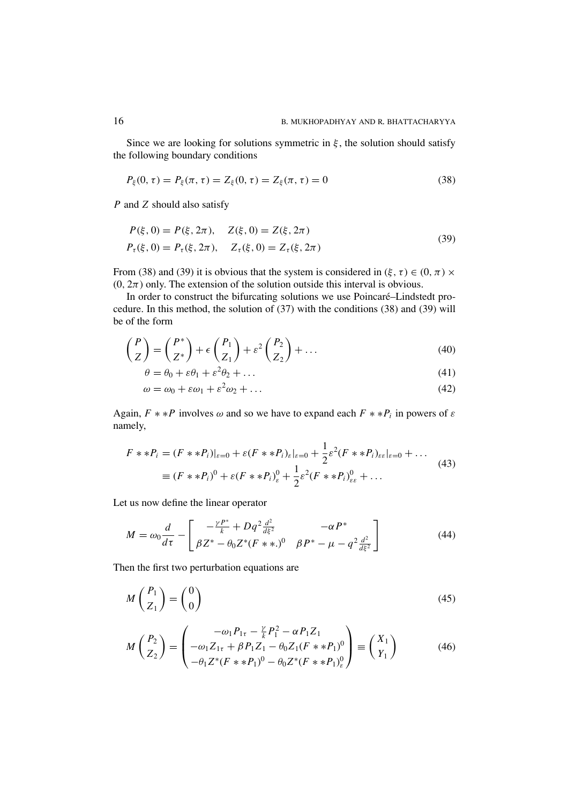Since we are looking for solutions symmetric in  $\xi$ , the solution should satisfy the following boundary conditions

$$
P_{\xi}(0,\tau) = P_{\xi}(\pi,\tau) = Z_{\xi}(0,\tau) = Z_{\xi}(\pi,\tau) = 0
$$
\n(38)

*P* and *Z* should also satisfy

$$
P(\xi, 0) = P(\xi, 2\pi), \quad Z(\xi, 0) = Z(\xi, 2\pi)
$$
  
\n
$$
P_{\tau}(\xi, 0) = P_{\tau}(\xi, 2\pi), \quad Z_{\tau}(\xi, 0) = Z_{\tau}(\xi, 2\pi)
$$
\n(39)

From (38) and (39) it is obvious that the system is considered in  $(\xi, \tau) \in (0, \pi) \times$  $(0, 2\pi)$  only. The extension of the solution outside this interval is obvious.

In order to construct the bifurcating solutions we use Poincaré–Lindstedt procedure. In this method, the solution of (37) with the conditions (38) and (39) will be of the form

$$
\binom{P}{Z} = \binom{P^*}{Z^*} + \epsilon \binom{P_1}{Z_1} + \epsilon^2 \binom{P_2}{Z_2} + \dots \tag{40}
$$

$$
\theta = \theta_0 + \varepsilon \theta_1 + \varepsilon^2 \theta_2 + \dots \tag{41}
$$

$$
\omega = \omega_0 + \varepsilon \omega_1 + \varepsilon^2 \omega_2 + \dots \tag{42}
$$

Again,  $F * *P$  involves  $\omega$  and so we have to expand each  $F * *P_i$  in powers of  $\varepsilon$ namely,

$$
F * * P_i = (F * * P_i)|_{\varepsilon=0} + \varepsilon (F * * P_i)_{\varepsilon}|_{\varepsilon=0} + \frac{1}{2} \varepsilon^2 (F * * P_i)_{\varepsilon \varepsilon}|_{\varepsilon=0} + \dots
$$
  

$$
\equiv (F * * P_i)^0 + \varepsilon (F * * P_i)^0_{\varepsilon} + \frac{1}{2} \varepsilon^2 (F * * P_i)^0_{\varepsilon \varepsilon} + \dots
$$
 (43)

Let us now define the linear operator

$$
M = \omega_0 \frac{d}{d\tau} - \left[ \frac{-\frac{\gamma P^*}{k} + Dq^2 \frac{d^2}{d\xi^2}}{\beta Z^* - \theta_0 Z^* (F * *.)^0} - \frac{-\alpha P^*}{\beta P^* - \mu - q^2 \frac{d^2}{d\xi^2}} \right]
$$
(44)

Then the first two perturbation equations are

$$
M\left(\frac{P_1}{Z_1}\right) = \left(\begin{matrix}0\\0\end{matrix}\right) \tag{45}
$$

$$
M\begin{pmatrix} P_2 \\ Z_2 \end{pmatrix} = \begin{pmatrix} -\omega_1 P_{1\tau} - \frac{\gamma}{k} P_1^2 - \alpha P_1 Z_1 \\ -\omega_1 Z_{1\tau} + \beta P_1 Z_1 - \theta_0 Z_1 (F \ast \ast P_1)^0 \\ -\theta_1 Z^* (F \ast \ast P_1)^0 - \theta_0 Z^* (F \ast \ast P_1)^0_{\varepsilon} \end{pmatrix} \equiv \begin{pmatrix} X_1 \\ Y_1 \end{pmatrix}
$$
(46)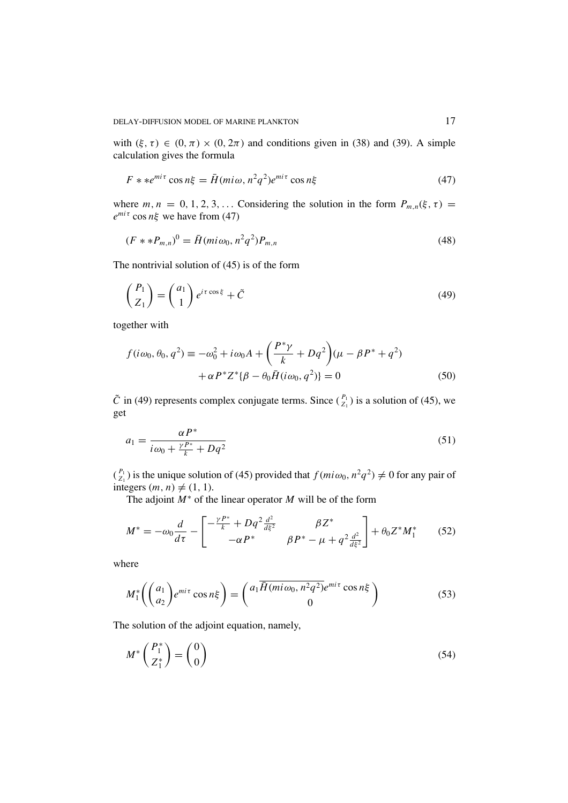with  $(\xi, \tau) \in (0, \pi) \times (0, 2\pi)$  and conditions given in (38) and (39). A simple calculation gives the formula

$$
F \ast \ast e^{mi\tau} \cos n\xi = \bar{H}(mi\omega, n^2q^2)e^{mi\tau} \cos n\xi \tag{47}
$$

where  $m, n = 0, 1, 2, 3, \ldots$  Considering the solution in the form  $P_{m,n}(\xi, \tau) =$  $e^{mi\tau}$  cos *n*ξ we have from (47)

$$
(F * *P_{m,n})^0 = \bar{H}(mi\omega_0, n^2q^2)P_{m,n}
$$
\n(48)

The nontrivial solution of (45) is of the form

$$
\begin{pmatrix} P_1 \\ Z_1 \end{pmatrix} = \begin{pmatrix} a_1 \\ 1 \end{pmatrix} e^{i\tau \cos \xi} + \tilde{C}
$$
 (49)

together with

$$
f(i\omega_0, \theta_0, q^2) \equiv -\omega_0^2 + i\omega_0 A + \left(\frac{P^* \gamma}{k} + Dq^2\right) (\mu - \beta P^* + q^2) + \alpha P^* Z^* \{\beta - \theta_0 \bar{H}(i\omega_0, q^2)\} = 0
$$
 (50)

 $\tilde{C}$  in (49) represents complex conjugate terms. Since  $\binom{P_1}{Z_1}$  is a solution of (45), we get

$$
a_1 = \frac{\alpha P^*}{i\omega_0 + \frac{\gamma P^*}{k} + Dq^2} \tag{51}
$$

 $\binom{P_1}{Z_1}$  is the unique solution of (45) provided that  $f(mi\omega_0, n^2q^2) \neq 0$  for any pair of integers  $(m, n) \neq (1, 1)$ .

The adjoint *M*<sup>∗</sup> of the linear operator *M* will be of the form

$$
M^* = -\omega_0 \frac{d}{d\tau} - \begin{bmatrix} -\frac{\gamma P^*}{k} + Dq^2 \frac{d^2}{d\xi^2} & \beta Z^* \\ -\alpha P^* & \beta P^* - \mu + q^2 \frac{d^2}{d\xi^2} \end{bmatrix} + \theta_0 Z^* M_1^* \qquad (52)
$$

where

$$
M_1^*\left(\binom{a_1}{a_2}e^{mi\tau}\cos n\xi\right) = \binom{a_1\overline{H}\left(\overline{m}i\omega_0, n^2q^2\right)e^{mi\tau}\cos n\xi}{0}
$$
\n<sup>(53)</sup>

The solution of the adjoint equation, namely,

$$
M^* \begin{pmatrix} P_1^* \\ Z_1^* \end{pmatrix} = \begin{pmatrix} 0 \\ 0 \end{pmatrix} \tag{54}
$$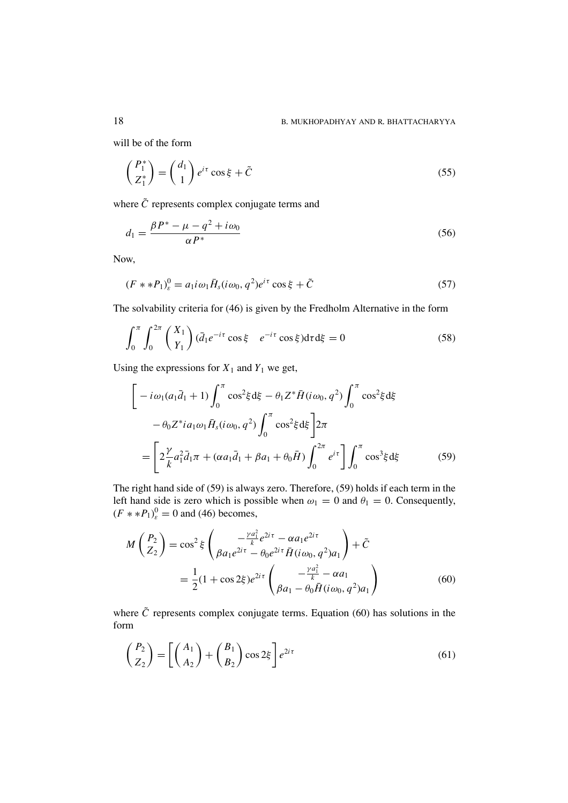will be of the form

$$
\begin{pmatrix} P_1^* \\ Z_1^* \end{pmatrix} = \begin{pmatrix} d_1 \\ 1 \end{pmatrix} e^{i\tau} \cos \xi + \tilde{C}
$$
\n(55)

where  $\tilde{C}$  represents complex conjugate terms and

$$
d_1 = \frac{\beta P^* - \mu - q^2 + i\omega_0}{\alpha P^*}
$$
\n
$$
\tag{56}
$$

Now,

$$
(F \ast \ast P_1)^0_{\varepsilon} = a_1 i \omega_1 \bar{H}_s (i \omega_0, q^2) e^{i\tau} \cos \xi + \tilde{C}
$$
\n
$$
(57)
$$

The solvability criteria for (46) is given by the Fredholm Alternative in the form

$$
\int_0^{\pi} \int_0^{2\pi} {X_1 \choose Y_1} (\bar{d}_1 e^{-i\tau} \cos \xi \quad e^{-i\tau} \cos \xi) d\tau d\xi = 0 \tag{58}
$$

Using the expressions for  $X_1$  and  $Y_1$  we get,

$$
\begin{aligned}\n&\left[-i\omega_{1}(a_{1}\bar{d}_{1}+1)\int_{0}^{\pi}\cos^{2}\xi\,d\xi-\theta_{1}Z^{*}\bar{H}(i\omega_{0},q^{2})\int_{0}^{\pi}\cos^{2}\xi\,d\xi\right.\\
&\left.-\theta_{0}Z^{*}i a_{1}\omega_{1}\bar{H}_{s}(i\omega_{0},q^{2})\int_{0}^{\pi}\cos^{2}\xi\,d\xi\right]2\pi\\
&=\left[2\frac{\gamma}{k}a_{1}^{2}\bar{d}_{1}\pi+(\alpha a_{1}\bar{d}_{1}+\beta a_{1}+\theta_{0}\bar{H})\int_{0}^{2\pi}e^{i\tau}\right]\int_{0}^{\pi}\cos^{3}\xi\,d\xi\n\end{aligned}
$$
(59)

The right hand side of (59) is always zero. Therefore, (59) holds if each term in the left hand side is zero which is possible when  $\omega_1 = 0$  and  $\theta_1 = 0$ . Consequently,  $(F * *P_1)^0_{\varepsilon} = 0$  and (46) becomes,

$$
M\left(\frac{P_2}{Z_2}\right) = \cos^2 \xi \left(\frac{-\frac{\gamma a_1^2}{k}e^{2i\tau} - \alpha a_1 e^{2i\tau}}{\beta a_1 e^{2i\tau} - \theta_0 e^{2i\tau} \bar{H}(i\omega_0, q^2)a_1}\right) + \tilde{C}
$$
  
=  $\frac{1}{2}(1 + \cos 2\xi)e^{2i\tau} \left(\frac{-\frac{\gamma a_1^2}{k} - \alpha a_1}{\beta a_1 - \theta_0 \bar{H}(i\omega_0, q^2)a_1}\right)$  (60)

where  $\tilde{C}$  represents complex conjugate terms. Equation (60) has solutions in the form

$$
\begin{pmatrix} P_2 \\ Z_2 \end{pmatrix} = \left[ \begin{pmatrix} A_1 \\ A_2 \end{pmatrix} + \begin{pmatrix} B_1 \\ B_2 \end{pmatrix} \cos 2\xi \right] e^{2i\tau} \tag{61}
$$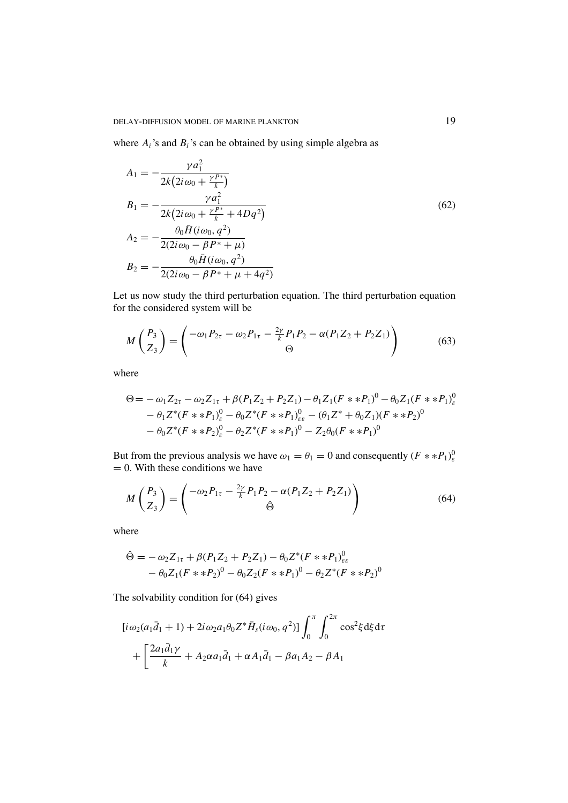where  $A_i$ 's and  $B_i$ 's can be obtained by using simple algebra as

$$
A_1 = -\frac{\gamma a_1^2}{2k(2i\omega_0 + \frac{\gamma P^*}{k})}
$$
  
\n
$$
B_1 = -\frac{\gamma a_1^2}{2k(2i\omega_0 + \frac{\gamma P^*}{k} + 4Dq^2)}
$$
  
\n
$$
A_2 = -\frac{\theta_0 \bar{H}(i\omega_0, q^2)}{2(2i\omega_0 - \beta P^* + \mu)}
$$
  
\n
$$
B_2 = -\frac{\theta_0 \bar{H}(i\omega_0, q^2)}{2(2i\omega_0 - \beta P^* + \mu + 4q^2)}
$$
  
\n(62)

Let us now study the third perturbation equation. The third perturbation equation for the considered system will be

$$
M\binom{P_3}{Z_3} = \binom{-\omega_1 P_{2\tau} - \omega_2 P_{1\tau} - \frac{2\gamma}{k} P_1 P_2 - \alpha (P_1 Z_2 + P_2 Z_1)}{\Theta} \tag{63}
$$

where

$$
\Theta = -\omega_1 Z_{2\tau} - \omega_2 Z_{1\tau} + \beta (P_1 Z_2 + P_2 Z_1) - \theta_1 Z_1 (F \ast \ast P_1)^0 - \theta_0 Z_1 (F \ast \ast P_1)^0_{\varepsilon}
$$
  

$$
- \theta_1 Z^*(F \ast \ast P_1)^0_{\varepsilon} - \theta_0 Z^*(F \ast \ast P_1)^0_{\varepsilon \varepsilon} - (\theta_1 Z^* + \theta_0 Z_1)(F \ast \ast P_2)^0
$$
  

$$
- \theta_0 Z^*(F \ast \ast P_2)^0_{\varepsilon} - \theta_2 Z^*(F \ast \ast P_1)^0 - Z_2 \theta_0 (F \ast \ast P_1)^0
$$

But from the previous analysis we have  $\omega_1 = \theta_1 = 0$  and consequently  $(F * * P_1)_\varepsilon^0$  $= 0$ . With these conditions we have

$$
M\binom{P_3}{Z_3} = \binom{-\omega_2 P_{1\tau} - \frac{2\gamma}{k} P_1 P_2 - \alpha (P_1 Z_2 + P_2 Z_1)}{\hat{\Theta}}\tag{64}
$$

where

$$
\hat{\Theta} = -\omega_2 Z_{1\tau} + \beta (P_1 Z_2 + P_2 Z_1) - \theta_0 Z^* (F * * P_1)_{\varepsilon\varepsilon}^0
$$
  
-  $\theta_0 Z_1 (F * * P_2)^0 - \theta_0 Z_2 (F * * P_1)^0 - \theta_2 Z^* (F * * P_2)^0$ 

The solvability condition for (64) gives

$$
[i\omega_2(a_1\bar{d}_1+1) + 2i\omega_2a_1\theta_0 Z^* \bar{H}_s(i\omega_0, q^2)] \int_0^{\pi} \int_0^{2\pi} \cos^2\xi d\xi d\tau
$$
  
+ 
$$
\left[\frac{2a_1\bar{d}_1\gamma}{k} + A_2\alpha a_1\bar{d}_1 + \alpha A_1\bar{d}_1 - \beta a_1 A_2 - \beta A_1\right]
$$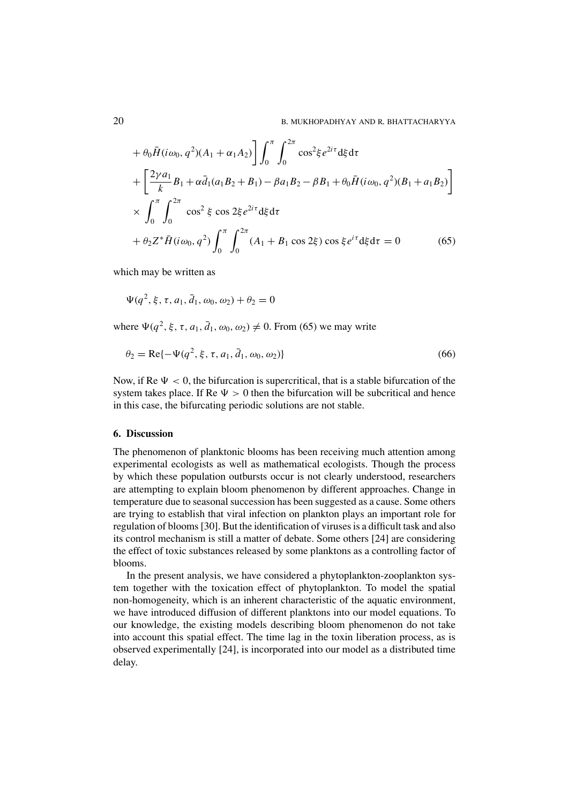$$
+ \theta_0 \bar{H}(i\omega_0, q^2)(A_1 + \alpha_1 A_2) \Bigg] \int_0^{\pi} \int_0^{2\pi} \cos^2 \xi e^{2i\tau} d\xi d\tau
$$
  
+  $\Bigg[ \frac{2\gamma a_1}{k} B_1 + \alpha \bar{d}_1 (a_1 B_2 + B_1) - \beta a_1 B_2 - \beta B_1 + \theta_0 \bar{H}(i\omega_0, q^2)(B_1 + a_1 B_2) \Bigg]$   
 $\times \int_0^{\pi} \int_0^{2\pi} \cos^2 \xi \cos 2\xi e^{2i\tau} d\xi d\tau$   
+  $\theta_2 Z^* \bar{H}(i\omega_0, q^2) \int_0^{\pi} \int_0^{2\pi} (A_1 + B_1 \cos 2\xi) \cos \xi e^{i\tau} d\xi d\tau = 0$  (65)

which may be written as

$$
\Psi(q^2, \xi, \tau, a_1, \bar{d}_1, \omega_0, \omega_2) + \theta_2 = 0
$$

where  $\Psi(q^2, \xi, \tau, a_1, \bar{d}_1, \omega_0, \omega_2) \neq 0$ . From (65) we may write

$$
\theta_2 = \text{Re}\{-\Psi(q^2, \xi, \tau, a_1, \bar{d}_1, \omega_0, \omega_2)\}\tag{66}
$$

Now, if Re  $\Psi < 0$ , the bifurcation is supercritical, that is a stable bifurcation of the system takes place. If Re  $\Psi > 0$  then the bifurcation will be subcritical and hence in this case, the bifurcating periodic solutions are not stable.

# **6. Discussion**

The phenomenon of planktonic blooms has been receiving much attention among experimental ecologists as well as mathematical ecologists. Though the process by which these population outbursts occur is not clearly understood, researchers are attempting to explain bloom phenomenon by different approaches. Change in temperature due to seasonal succession has been suggested as a cause. Some others are trying to establish that viral infection on plankton plays an important role for regulation of blooms [30]. But the identification of viruses is a difficult task and also its control mechanism is still a matter of debate. Some others [24] are considering the effect of toxic substances released by some planktons as a controlling factor of blooms.

In the present analysis, we have considered a phytoplankton-zooplankton system together with the toxication effect of phytoplankton. To model the spatial non-homogeneity, which is an inherent characteristic of the aquatic environment, we have introduced diffusion of different planktons into our model equations. To our knowledge, the existing models describing bloom phenomenon do not take into account this spatial effect. The time lag in the toxin liberation process, as is observed experimentally [24], is incorporated into our model as a distributed time delay.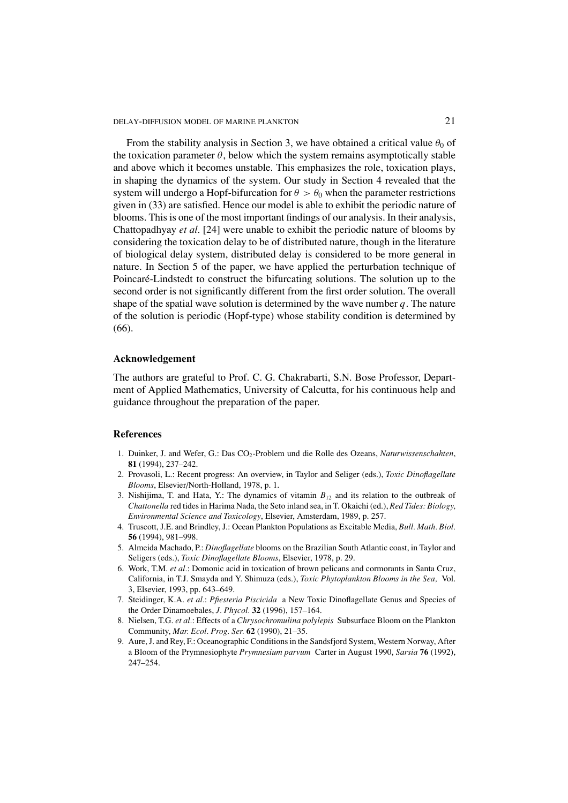From the stability analysis in Section 3, we have obtained a critical value  $\theta_0$  of the toxication parameter  $\theta$ , below which the system remains asymptotically stable and above which it becomes unstable. This emphasizes the role, toxication plays, in shaping the dynamics of the system. Our study in Section 4 revealed that the system will undergo a Hopf-bifurcation for  $\theta > \theta_0$  when the parameter restrictions given in (33) are satisfied. Hence our model is able to exhibit the periodic nature of blooms. This is one of the most important findings of our analysis. In their analysis, Chattopadhyay *et al*. [24] were unable to exhibit the periodic nature of blooms by considering the toxication delay to be of distributed nature, though in the literature of biological delay system, distributed delay is considered to be more general in nature. In Section 5 of the paper, we have applied the perturbation technique of Poincaré-Lindstedt to construct the bifurcating solutions. The solution up to the second order is not significantly different from the first order solution. The overall shape of the spatial wave solution is determined by the wave number *q*. The nature of the solution is periodic (Hopf-type) whose stability condition is determined by (66).

# **Acknowledgement**

The authors are grateful to Prof. C. G. Chakrabarti, S.N. Bose Professor, Department of Applied Mathematics, University of Calcutta, for his continuous help and guidance throughout the preparation of the paper.

# **References**

- 1. Duinker, J. and Wefer, G.: Das CO2-Problem und die Rolle des Ozeans, *Naturwissenschahten*, **81** (1994), 237–242.
- 2. Provasoli, L.: Recent progress: An overview, in Taylor and Seliger (eds.), *Toxic Dinoflagellate Blooms*, Elsevier/North-Holland, 1978, p. 1.
- 3. Nishijima, T. and Hata, Y.: The dynamics of vitamin *B*<sup>12</sup> and its relation to the outbreak of *Chattonella* red tides in Harima Nada, the Seto inland sea, in T. Okaichi (ed.), *Red Tides: Biology, Environmental Science and Toxicology*, Elsevier, Amsterdam, 1989, p. 257.
- 4. Truscott, J.E. and Brindley, J.: Ocean Plankton Populations as Excitable Media, *Bull. Math. Biol.* **56** (1994), 981–998.
- 5. Almeida Machado, P.: *Dinoflagellate* blooms on the Brazilian South Atlantic coast, in Taylor and Seligers (eds.), *Toxic Dinoflagellate Blooms*, Elsevier, 1978, p. 29.
- 6. Work, T.M. *et al.*: Domonic acid in toxication of brown pelicans and cormorants in Santa Cruz, California, in T.J. Smayda and Y. Shimuza (eds.), *Toxic Phytoplankton Blooms in the Sea,* Vol. 3, Elsevier, 1993, pp. 643–649.
- 7. Steidinger, K.A. *et al.*: *Pfiesteria Piscicida* a New Toxic Dinoflagellate Genus and Species of the Order Dinamoebales, *J. Phycol.* **32** (1996), 157–164.
- 8. Nielsen, T.G. *et al.*: Effects of a *Chrysochromulina polylepis* Subsurface Bloom on the Plankton Community, *Mar. Ecol. Prog. Ser.* **62** (1990), 21–35.
- 9. Aure, J. and Rey, F.: Oceanographic Conditions in the Sandsfjord System, Western Norway, After a Bloom of the Prymnesiophyte *Prymnesium parvum* Carter in August 1990, *Sarsia* **76** (1992), 247–254.